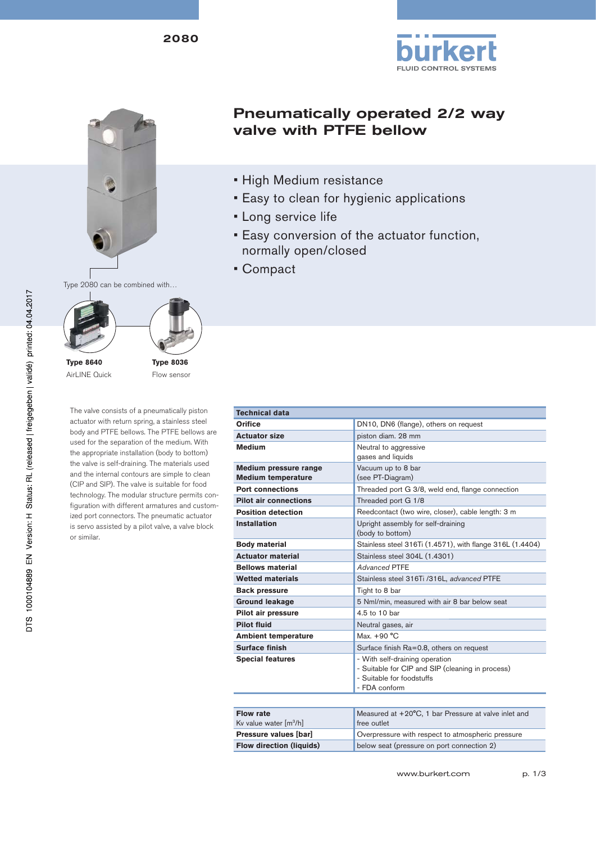







AirLINE Quick

**Type 8036** Flow sensor

The valve consists of a pneumatically piston actuator with return spring, a stainless steel body and PTFE bellows. The PTFE bellows are used for the separation of the medium. With the appropriate installation (body to bottom) the valve is self-draining. The materials used and the internal contours are simple to clean (CIP and SIP). The valve is suitable for food technology. The modular structure permits configuration with different armatures and customized port connectors. The pneumatic actuator is servo assisted by a pilot valve, a valve block or similar.

| <b>Pneumatically operated 2/2 way</b> |  |
|---------------------------------------|--|
| valve with PTFE bellow                |  |

- High Medium resistance
- Easy to clean for hygienic applications
- Long service life
- Easy conversion of the actuator function, normally open/closed
- Compact

| <b>Technical data</b>                              |                                                                                                                                  |  |
|----------------------------------------------------|----------------------------------------------------------------------------------------------------------------------------------|--|
| Orifice                                            | DN10, DN6 (flange), others on request                                                                                            |  |
| <b>Actuator size</b>                               | piston diam. 28 mm                                                                                                               |  |
| <b>Medium</b>                                      | Neutral to aggressive<br>gases and liquids                                                                                       |  |
| Medium pressure range<br><b>Medium temperature</b> | Vacuum up to 8 bar<br>(see PT-Diagram)                                                                                           |  |
| <b>Port connections</b>                            | Threaded port G 3/8, weld end, flange connection                                                                                 |  |
| <b>Pilot air connections</b>                       | Threaded port G 1/8                                                                                                              |  |
| <b>Position detection</b>                          | Reedcontact (two wire, closer), cable length: 3 m                                                                                |  |
| <b>Installation</b>                                | Upright assembly for self-draining<br>(body to bottom)                                                                           |  |
| <b>Body material</b>                               | Stainless steel 316Ti (1.4571), with flange 316L (1.4404)                                                                        |  |
| <b>Actuator material</b>                           | Stainless steel 304L (1.4301)                                                                                                    |  |
| <b>Bellows material</b>                            | Advanced PTFF                                                                                                                    |  |
| <b>Wetted materials</b>                            | Stainless steel 316Ti /316L, advanced PTFE                                                                                       |  |
| <b>Back pressure</b>                               | Tight to 8 bar                                                                                                                   |  |
| <b>Ground leakage</b>                              | 5 Nml/min, measured with air 8 bar below seat                                                                                    |  |
| Pilot air pressure                                 | 4.5 to 10 bar                                                                                                                    |  |
| Pilot fluid                                        | Neutral gases, air                                                                                                               |  |
| <b>Ambient temperature</b>                         | Max. $+90 °C$                                                                                                                    |  |
| Surface finish                                     | Surface finish Ra=0.8, others on request                                                                                         |  |
| <b>Special features</b>                            | - With self-draining operation<br>- Suitable for CIP and SIP (cleaning in process)<br>- Suitable for foodstuffs<br>- FDA conform |  |
|                                                    |                                                                                                                                  |  |

| <b>Flow rate</b><br>Kv value water $[m^3/h]$ | Measured at +20°C, 1 bar Pressure at valve inlet and<br>free outlet |
|----------------------------------------------|---------------------------------------------------------------------|
| Pressure values [bar]                        | Overpressure with respect to atmospheric pressure                   |
| <b>Flow direction (liquids)</b>              | below seat (pressure on port connection 2)                          |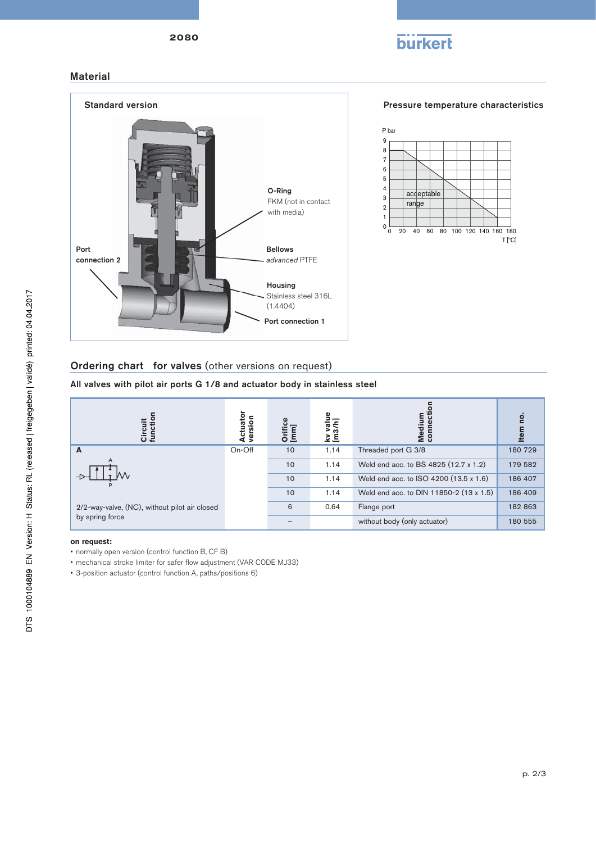



 $T$  $^{\circ}$ C

## Material



## Ordering chart for valves (other versions on request)

All valves with pilot air ports G 1/8 and actuator body in stainless steel



## **on request:**

- normally open version (control function B, CF B)
- mechanical stroke limiter for safer flow adjustment (VAR CODE MJ33)
- 3-position actuator (control function A, paths/positions 6)